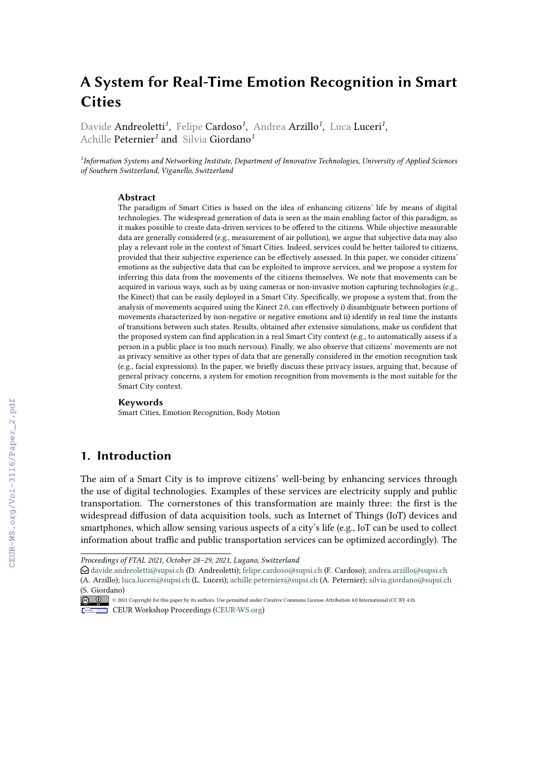# **A System for Real-Time Emotion Recognition in Smart Cities**

Davide Andreoletti*<sup>1</sup>* , Felipe Cardoso*<sup>1</sup>* , Andrea Arzillo*<sup>1</sup>* , Luca Luceri*<sup>1</sup>* , Achille Peternier*<sup>1</sup>* and Silvia Giordano*<sup>1</sup>*

*1 Information Systems and Networking Institute, Department of Innovative Technologies, University of Applied Sciences of Southern Switzerland, Viganello, Switzerland*

#### **Abstract**

The paradigm of Smart Cities is based on the idea of enhancing citizens' life by means of digital technologies. The widespread generation of data is seen as the main enabling factor of this paradigm, as it makes possible to create data-driven services to be offered to the citizens. While objective measurable data are generally considered (e.g., measurement of air pollution), we argue that subjective data may also play a relevant role in the context of Smart Cities. Indeed, services could be better tailored to citizens, provided that their subjective experience can be effectively assessed. In this paper, we consider citizens' emotions as the subjective data that can be exploited to improve services, and we propose a system for inferring this data from the movements of the citizens themselves. We note that movements can be acquired in various ways, such as by using cameras or non-invasive motion capturing technologies (e.g., the Kinect) that can be easily deployed in a Smart City. Specifically, we propose a system that, from the analysis of movements acquired using the Kinect 2.0, can effectively i) disambiguate between portions of movements characterized by non-negative or negative emotions and ii) identify in real time the instants of transitions between such states. Results, obtained after extensive simulations, make us confident that the proposed system can find application in a real Smart City context (e.g., to automatically assess if a person in a public place is too much nervous). Finally, we also observe that citizens' movements are not as privacy sensitive as other types of data that are generally considered in the emotion recognition task (e.g., facial expressions). In the paper, we briefly discuss these privacy issues, arguing that, because of general privacy concerns, a system for emotion recognition from movements is the most suitable for the Smart City context.

#### **Keywords**

Smart Cities, Emotion Recognition, Body Motion

### **1. Introduction**

The aim of a Smart City is to improve citizens' well-being by enhancing services through the use of digital technologies. Examples of these services are electricity supply and public transportation. The cornerstones of this transformation are mainly three: the first is the widespread diffusion of data acquisition tools, such as Internet of Things (IoT) devices and smartphones, which allow sensing various aspects of a city's life (e.g., IoT can be used to collect information about traffic and public transportation services can be optimized accordingly). The

*Proceedings of FTAL 2021, October 28–29, 2021, Lugano, Switzerland*

 $\bigcirc$  [davide.andreoletti@supsi.ch](mailto:davide.andreoletti@supsi.ch) (D. Andreoletti); [felipe.cardoso@supsi.ch](mailto:felipe.cardoso@supsi.ch) (F. Cardoso); [andrea.arzillo@supsi.ch](mailto:andrea.arzillo@supsi.ch) (A. Arzillo); [luca.luceri@supsi.ch](mailto:luca.luceri@supsi.ch) (L. Luceri); [achille.peternier@supsi.ch](mailto:achille.peternier@supsi.ch) (A. Peternier); [silvia.giordano@supsi.ch](mailto:silvia.giordano@supsi.ch) [\(S. Giord](https://creativecommons.org/licenses/by/4.0)ano)

<sup>©</sup> 2021 Copyright for this paper by its authors. Use permitted under Creative Commons License Attribution 4.0 International (CC BY 4.0). CEUR Workshop [Proceedings](http://ceur-ws.org) [\(CEUR-WS.org\)](http://ceur-ws.org)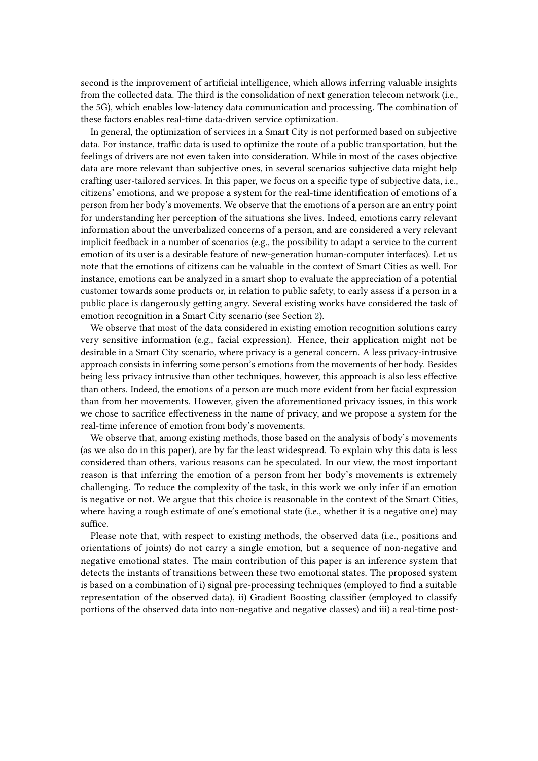second is the improvement of artificial intelligence, which allows inferring valuable insights from the collected data. The third is the consolidation of next generation telecom network (i.e., the 5G), which enables low-latency data communication and processing. The combination of these factors enables real-time data-driven service optimization.

In general, the optimization of services in a Smart City is not performed based on subjective data. For instance, traffic data is used to optimize the route of a public transportation, but the feelings of drivers are not even taken into consideration. While in most of the cases objective data are more relevant than subjective ones, in several scenarios subjective data might help crafting user-tailored services. In this paper, we focus on a specific type of subjective data, i.e., citizens' emotions, and we propose a system for the real-time identification of emotions of a person from her body's movements. We observe that the emotions of a person are an entry point for understanding her perception of the situations she lives. Indeed, emotions carry relevant information about the unverbalized concerns of a person, and are considered a very relevant implicit feedback in a number of scenarios (e.g., the possibility to adapt a service to the current emotion of its user is a desirable feature of new-generation human-computer interfaces). Let us note that the emotions of citizens can be valuable in the context of Smart Cities as well. For instance, emotions can be analyzed in a smart shop to evaluate the appreciation of a potential customer towards some products or, in relation to public safety, to early assess if a person in a public place is dangerously getting angry. Several existing works have considered the task of emotion recognition in a Smart City scenario (see Section [2\)](#page-2-0).

We observe that most of the data considered in existing emotion recognition solutions carry very sensitive information (e.g., facial expression). Hence, their application might not be desirable in a Smart City scenario, where privacy is a general concern. A less privacy-intrusive approach consists in inferring some person's emotions from the movements of her body. Besides being less privacy intrusive than other techniques, however, this approach is also less effective than others. Indeed, the emotions of a person are much more evident from her facial expression than from her movements. However, given the aforementioned privacy issues, in this work we chose to sacrifice effectiveness in the name of privacy, and we propose a system for the real-time inference of emotion from body's movements.

We observe that, among existing methods, those based on the analysis of body's movements (as we also do in this paper), are by far the least widespread. To explain why this data is less considered than others, various reasons can be speculated. In our view, the most important reason is that inferring the emotion of a person from her body's movements is extremely challenging. To reduce the complexity of the task, in this work we only infer if an emotion is negative or not. We argue that this choice is reasonable in the context of the Smart Cities, where having a rough estimate of one's emotional state (i.e., whether it is a negative one) may suffice.

Please note that, with respect to existing methods, the observed data (i.e., positions and orientations of joints) do not carry a single emotion, but a sequence of non-negative and negative emotional states. The main contribution of this paper is an inference system that detects the instants of transitions between these two emotional states. The proposed system is based on a combination of i) signal pre-processing techniques (employed to find a suitable representation of the observed data), ii) Gradient Boosting classifier (employed to classify portions of the observed data into non-negative and negative classes) and iii) a real-time post-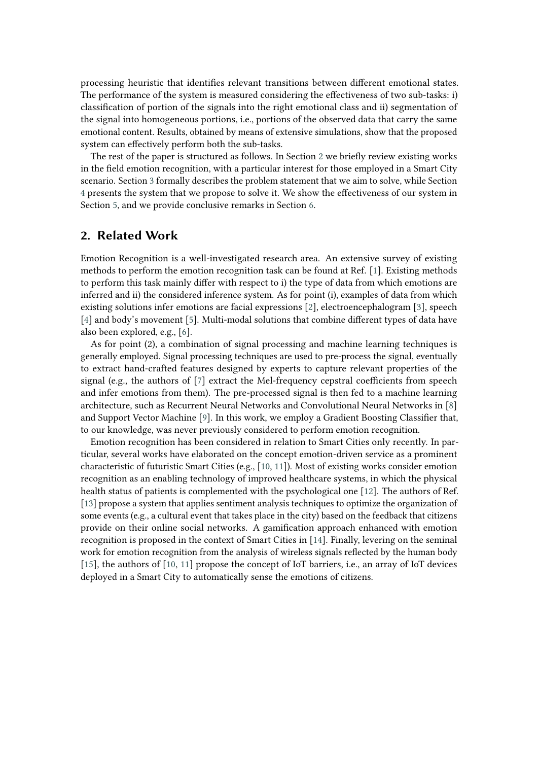processing heuristic that identifies relevant transitions between different emotional states. The performance of the system is measured considering the effectiveness of two sub-tasks: i) classification of portion of the signals into the right emotional class and ii) segmentation of the signal into homogeneous portions, i.e., portions of the observed data that carry the same emotional content. Results, obtained by means of extensive simulations, show that the proposed system can effectively perform both the sub-tasks.

The rest of the paper is structured as follows. In Section [2](#page-2-0) we briefly review existing works in the field emotion recognition, with a particular interest for those employed in a Smart City scenario. Section [3](#page-3-0) formally describes the problem statement that we aim to solve, while Section [4](#page-3-1) presents the system that we propose to solve it. We show the effectiveness of our system in Section [5,](#page-5-0) and we provide conclusive remarks in Section [6.](#page-6-0)

### <span id="page-2-0"></span>**2. Related Work**

Emotion Recognition is a well-investigated research area. An extensive survey of existing methods to perform the emotion recognition task can be found at Ref. [\[1\]](#page-7-0). Existing methods to perform this task mainly differ with respect to i) the type of data from which emotions are inferred and ii) the considered inference system. As for point (i), examples of data from which existing solutions infer emotions are facial expressions [\[2\]](#page-7-1), electroencephalogram [\[3\]](#page-7-2), speech [\[4\]](#page-7-3) and body's movement [\[5\]](#page-7-4). Multi-modal solutions that combine different types of data have also been explored, e.g., [\[6\]](#page-7-5).

As for point (2), a combination of signal processing and machine learning techniques is generally employed. Signal processing techniques are used to pre-process the signal, eventually to extract hand-crafted features designed by experts to capture relevant properties of the signal (e.g., the authors of [\[7\]](#page-7-6) extract the Mel-frequency cepstral coefficients from speech and infer emotions from them). The pre-processed signal is then fed to a machine learning architecture, such as Recurrent Neural Networks and Convolutional Neural Networks in [\[8\]](#page-7-7) and Support Vector Machine [\[9\]](#page-7-8). In this work, we employ a Gradient Boosting Classifier that, to our knowledge, was never previously considered to perform emotion recognition.

Emotion recognition has been considered in relation to Smart Cities only recently. In particular, several works have elaborated on the concept emotion-driven service as a prominent characteristic of futuristic Smart Cities (e.g., [\[10,](#page-7-9) [11\]](#page-7-10)). Most of existing works consider emotion recognition as an enabling technology of improved healthcare systems, in which the physical health status of patients is complemented with the psychological one [\[12\]](#page-7-11). The authors of Ref. [\[13\]](#page-7-12) propose a system that applies sentiment analysis techniques to optimize the organization of some events (e.g., a cultural event that takes place in the city) based on the feedback that citizens provide on their online social networks. A gamification approach enhanced with emotion recognition is proposed in the context of Smart Cities in [\[14\]](#page-7-13). Finally, levering on the seminal work for emotion recognition from the analysis of wireless signals reflected by the human body [\[15\]](#page-7-14), the authors of [\[10,](#page-7-9) [11\]](#page-7-10) propose the concept of IoT barriers, i.e., an array of IoT devices deployed in a Smart City to automatically sense the emotions of citizens.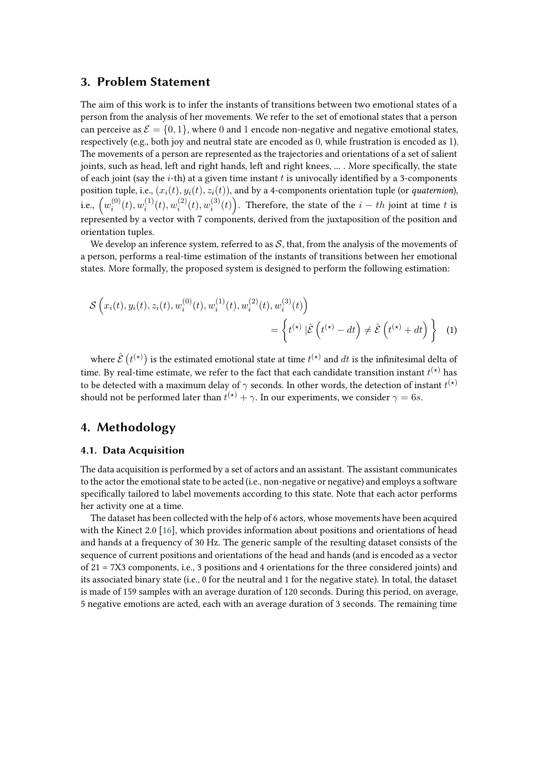#### <span id="page-3-0"></span>**3. Problem Statement**

The aim of this work is to infer the instants of transitions between two emotional states of a person from the analysis of her movements. We refer to the set of emotional states that a person can perceive as  $\mathcal{E} = \{0, 1\}$ , where 0 and 1 encode non-negative and negative emotional states, respectively (e.g., both joy and neutral state are encoded as 0, while frustration is encoded as 1). The movements of a person are represented as the trajectories and orientations of a set of salient joints, such as head, left and right hands, left and right knees, ... . More specifically, the state of each joint (say the *i*-th) at a given time instant  $t$  is univocally identified by a 3-components position tuple, i.e.,  $(x_i(t), y_i(t), z_i(t))$ , and by a 4-components orientation tuple (or *quaternion*), i.e.,  $\left(w_i^{(0)}\right)$  $_{i}^{(0)}(t), w_i^{(1)}$  $\mathcal{C}_i^{(1)}(t), \mathcal{w}_i^{(2)}$  $\hat{u}_i^{(2)}(t), w_i^{(3)}$  $\binom{(3)}{i}(t)$ . Therefore, the state of the  $i-th$  joint at time  $t$  is represented by a vector with 7 components, derived from the juxtaposition of the position and orientation tuples.

We develop an inference system, referred to as  $S$ , that, from the analysis of the movements of a person, performs a real-time estimation of the instants of transitions between her emotional states. More formally, the proposed system is designed to perform the following estimation:

$$
\mathcal{S}\left(x_i(t), y_i(t), z_i(t), w_i^{(0)}(t), w_i^{(1)}(t), w_i^{(2)}(t), w_i^{(3)}(t)\right) = \left\{t^{(\star)}|\hat{\mathcal{E}}\left(t^{(\star)} - dt\right) \neq \hat{\mathcal{E}}\left(t^{(\star)} + dt\right)\right\} \tag{1}
$$

where  $\hat{\mathcal{E}}$   $\big(t^{(\star)}\big)$  is the estimated emotional state at time  $t^{(\star)}$  and  $dt$  is the infinitesimal delta of time. By real-time estimate, we refer to the fact that each candidate transition instant  $t^{(\star)}$  has to be detected with a maximum delay of  $\gamma$  seconds. In other words, the detection of instant  $t^{(\star)}$ should not be performed later than  $t^{(\star)} + \gamma$ . In our experiments, we consider  $\gamma = 6s$ .

### <span id="page-3-1"></span>**4. Methodology**

#### **4.1. Data Acquisition**

The data acquisition is performed by a set of actors and an assistant. The assistant communicates to the actor the emotional state to be acted (i.e., non-negative or negative) and employs a software specifically tailored to label movements according to this state. Note that each actor performs her activity one at a time.

The dataset has been collected with the help of 6 actors, whose movements have been acquired with the Kinect 2.0 [\[16\]](#page-7-15), which provides information about positions and orientations of head and hands at a frequency of 30 Hz. The generic sample of the resulting dataset consists of the sequence of current positions and orientations of the head and hands (and is encoded as a vector of 21 = 7X3 components, i.e., 3 positions and 4 orientations for the three considered joints) and its associated binary state (i.e., 0 for the neutral and 1 for the negative state). In total, the dataset is made of 159 samples with an average duration of 120 seconds. During this period, on average, 5 negative emotions are acted, each with an average duration of 3 seconds. The remaining time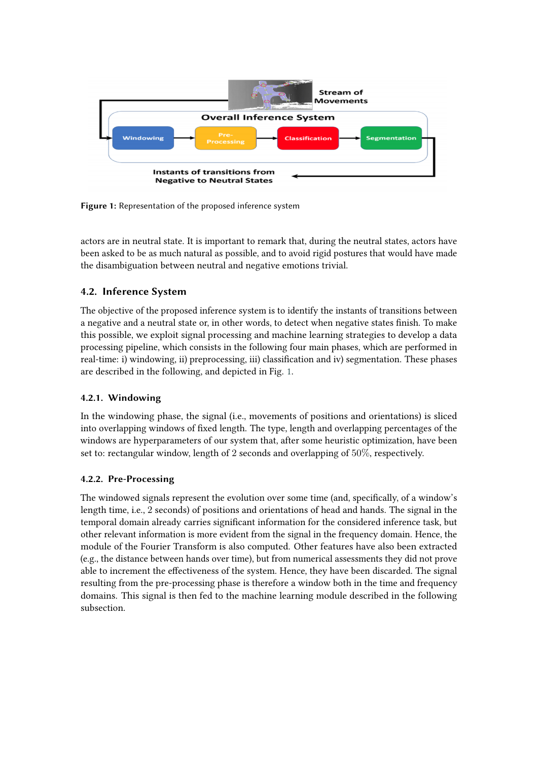

<span id="page-4-0"></span>**Figure 1:** Representation of the proposed inference system

actors are in neutral state. It is important to remark that, during the neutral states, actors have been asked to be as much natural as possible, and to avoid rigid postures that would have made the disambiguation between neutral and negative emotions trivial.

### **4.2. Inference System**

The objective of the proposed inference system is to identify the instants of transitions between a negative and a neutral state or, in other words, to detect when negative states finish. To make this possible, we exploit signal processing and machine learning strategies to develop a data processing pipeline, which consists in the following four main phases, which are performed in real-time: i) windowing, ii) preprocessing, iii) classification and iv) segmentation. These phases are described in the following, and depicted in Fig. [1.](#page-4-0)

#### **4.2.1. Windowing**

In the windowing phase, the signal (i.e., movements of positions and orientations) is sliced into overlapping windows of fixed length. The type, length and overlapping percentages of the windows are hyperparameters of our system that, after some heuristic optimization, have been set to: rectangular window, length of 2 seconds and overlapping of 50%, respectively.

#### **4.2.2. Pre-Processing**

The windowed signals represent the evolution over some time (and, specifically, of a window's length time, i.e., 2 seconds) of positions and orientations of head and hands. The signal in the temporal domain already carries significant information for the considered inference task, but other relevant information is more evident from the signal in the frequency domain. Hence, the module of the Fourier Transform is also computed. Other features have also been extracted (e.g., the distance between hands over time), but from numerical assessments they did not prove able to increment the effectiveness of the system. Hence, they have been discarded. The signal resulting from the pre-processing phase is therefore a window both in the time and frequency domains. This signal is then fed to the machine learning module described in the following subsection.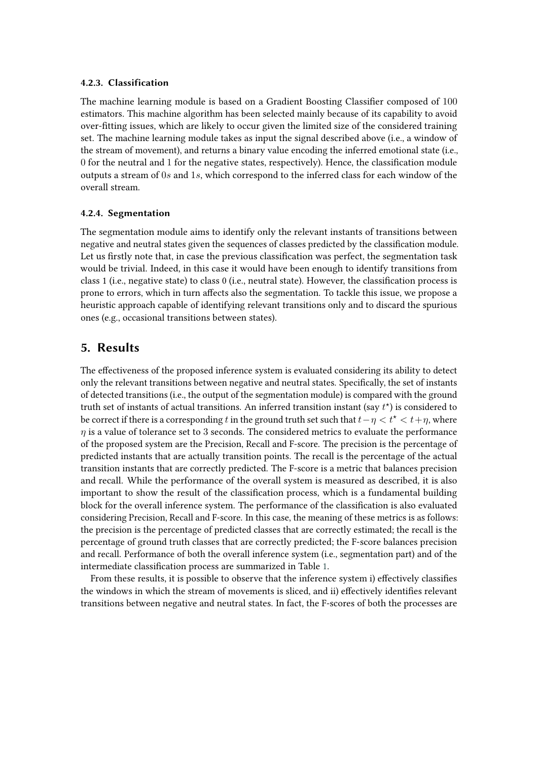#### **4.2.3. Classification**

The machine learning module is based on a Gradient Boosting Classifier composed of 100 estimators. This machine algorithm has been selected mainly because of its capability to avoid over-fitting issues, which are likely to occur given the limited size of the considered training set. The machine learning module takes as input the signal described above (i.e., a window of the stream of movement), and returns a binary value encoding the inferred emotional state (i.e., 0 for the neutral and 1 for the negative states, respectively). Hence, the classification module outputs a stream of  $0s$  and  $1s$ , which correspond to the inferred class for each window of the overall stream.

#### **4.2.4. Segmentation**

The segmentation module aims to identify only the relevant instants of transitions between negative and neutral states given the sequences of classes predicted by the classification module. Let us firstly note that, in case the previous classification was perfect, the segmentation task would be trivial. Indeed, in this case it would have been enough to identify transitions from class 1 (i.e., negative state) to class 0 (i.e., neutral state). However, the classification process is prone to errors, which in turn affects also the segmentation. To tackle this issue, we propose a heuristic approach capable of identifying relevant transitions only and to discard the spurious ones (e.g., occasional transitions between states).

### <span id="page-5-0"></span>**5. Results**

The effectiveness of the proposed inference system is evaluated considering its ability to detect only the relevant transitions between negative and neutral states. Specifically, the set of instants of detected transitions (i.e., the output of the segmentation module) is compared with the ground truth set of instants of actual transitions. An inferred transition instant (say  $t^*$ ) is considered to be correct if there is a corresponding t in the ground truth set such that  $t - \eta < t^* < t + \eta$ , where  $n$  is a value of tolerance set to 3 seconds. The considered metrics to evaluate the performance of the proposed system are the Precision, Recall and F-score. The precision is the percentage of predicted instants that are actually transition points. The recall is the percentage of the actual transition instants that are correctly predicted. The F-score is a metric that balances precision and recall. While the performance of the overall system is measured as described, it is also important to show the result of the classification process, which is a fundamental building block for the overall inference system. The performance of the classification is also evaluated considering Precision, Recall and F-score. In this case, the meaning of these metrics is as follows: the precision is the percentage of predicted classes that are correctly estimated; the recall is the percentage of ground truth classes that are correctly predicted; the F-score balances precision and recall. Performance of both the overall inference system (i.e., segmentation part) and of the intermediate classification process are summarized in Table [1.](#page-6-1)

From these results, it is possible to observe that the inference system i) effectively classifies the windows in which the stream of movements is sliced, and ii) effectively identifies relevant transitions between negative and neutral states. In fact, the F-scores of both the processes are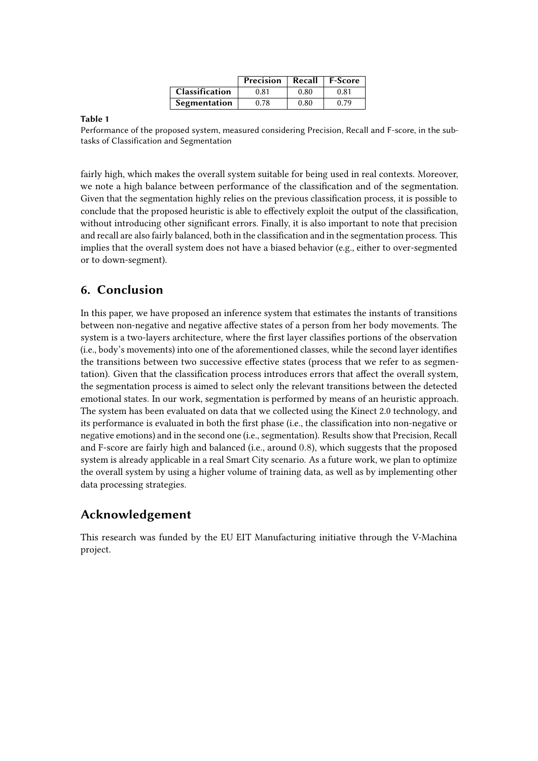<span id="page-6-1"></span>

|                       | Precision | Recall | <b>F-Score</b> |
|-----------------------|-----------|--------|----------------|
| <b>Classification</b> | 0.81      | 0.80   | 0.81           |
| Segmentation          | 0.78      | 0.80   | 0.79           |

#### **Table 1**

Performance of the proposed system, measured considering Precision, Recall and F-score, in the subtasks of Classification and Segmentation

fairly high, which makes the overall system suitable for being used in real contexts. Moreover, we note a high balance between performance of the classification and of the segmentation. Given that the segmentation highly relies on the previous classification process, it is possible to conclude that the proposed heuristic is able to effectively exploit the output of the classification, without introducing other significant errors. Finally, it is also important to note that precision and recall are also fairly balanced, both in the classification and in the segmentation process. This implies that the overall system does not have a biased behavior (e.g., either to over-segmented or to down-segment).

## <span id="page-6-0"></span>**6. Conclusion**

In this paper, we have proposed an inference system that estimates the instants of transitions between non-negative and negative affective states of a person from her body movements. The system is a two-layers architecture, where the first layer classifies portions of the observation (i.e., body's movements) into one of the aforementioned classes, while the second layer identifies the transitions between two successive effective states (process that we refer to as segmentation). Given that the classification process introduces errors that affect the overall system, the segmentation process is aimed to select only the relevant transitions between the detected emotional states. In our work, segmentation is performed by means of an heuristic approach. The system has been evaluated on data that we collected using the Kinect 2.0 technology, and its performance is evaluated in both the first phase (i.e., the classification into non-negative or negative emotions) and in the second one (i.e., segmentation). Results show that Precision, Recall and F-score are fairly high and balanced (i.e., around 0.8), which suggests that the proposed system is already applicable in a real Smart City scenario. As a future work, we plan to optimize the overall system by using a higher volume of training data, as well as by implementing other data processing strategies.

# **Acknowledgement**

This research was funded by the EU EIT Manufacturing initiative through the V-Machina project.